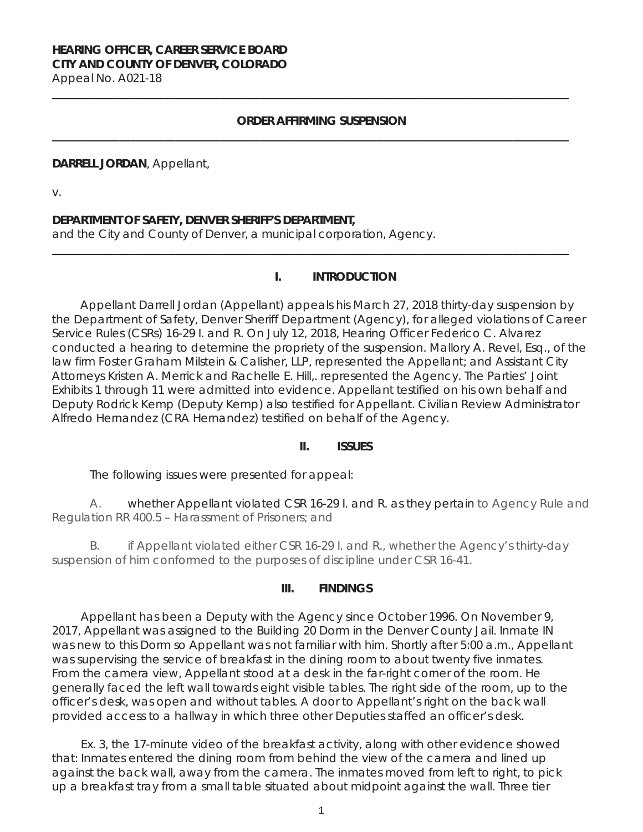### **HEARING OFFICER, CAREER SERVICE BOARD CITY AND COUNTY OF DENVER, COLORADO** Appeal No. A021-18

**\_\_\_\_\_\_\_\_\_\_\_\_\_\_\_\_\_\_\_\_\_\_\_\_\_\_\_\_\_\_\_\_\_\_\_\_\_\_\_\_\_\_\_\_\_\_\_\_\_\_\_\_\_\_\_\_\_\_\_\_\_\_\_\_\_\_\_\_\_\_\_\_\_\_\_\_\_\_\_\_\_\_\_\_\_\_\_\_\_\_\_\_**

### **ORDER AFFIRMING SUSPENSION**

**\_\_\_\_\_\_\_\_\_\_\_\_\_\_\_\_\_\_\_\_\_\_\_\_\_\_\_\_\_\_\_\_\_\_\_\_\_\_\_\_\_\_\_\_\_\_\_\_\_\_\_\_\_\_\_\_\_\_\_\_\_\_\_\_\_\_\_\_\_\_\_\_\_\_\_\_\_\_\_\_\_\_\_\_\_\_\_\_\_\_\_\_**

**\_\_\_\_\_\_\_\_\_\_\_\_\_\_\_\_\_\_\_\_\_\_\_\_\_\_\_\_\_\_\_\_\_\_\_\_\_\_\_\_\_\_\_\_\_\_\_\_\_\_\_\_\_\_\_\_\_\_\_\_\_\_\_\_\_\_\_\_\_\_\_\_\_\_\_\_\_\_\_\_\_\_\_\_\_\_\_\_\_\_\_\_** 

#### **DARRELL JORDAN**, Appellant,

v.

### **DEPARTMENT OF SAFETY, DENVER SHERIFF'S DEPARTMENT,**

and the City and County of Denver, a municipal corporation, Agency.

### **I. INTRODUCTION**

Appellant Darrell Jordan (Appellant) appeals his March 27, 2018 thirty-day suspension by the Department of Safety, Denver Sheriff Department (Agency), for alleged violations of Career Service Rules (CSRs) 16-29 I. and R. On July 12, 2018, Hearing Officer Federico C. Alvarez conducted a hearing to determine the propriety of the suspension. Mallory A. Revel, Esq., of the law firm Foster Graham Milstein & Calisher, LLP, represented the Appellant; and Assistant City Attorneys Kristen A. Merrick and Rachelle E. Hill,. represented the Agency. The Parties' Joint Exhibits 1 through 11 were admitted into evidence. Appellant testified on his own behalf and Deputy Rodrick Kemp (Deputy Kemp) also testified for Appellant. Civilian Review Administrator Alfredo Hernandez (CRA Hernandez) testified on behalf of the Agency.

### **II. ISSUES**

The following issues were presented for appeal:

A. whether Appellant violated CSR 16-29 I. and R. as they pertain to Agency Rule and Regulation RR 400.5 – Harassment of Prisoners; and

B. if Appellant violated either CSR 16-29 I. and R., whether the Agency's thirty-day suspension of him conformed to the purposes of discipline under CSR 16-41.

### **III. FINDINGS**

Appellant has been a Deputy with the Agency since October 1996. On November 9, 2017, Appellant was assigned to the Building 20 Dorm in the Denver County Jail. Inmate IN was new to this Dorm so Appellant was not familiar with him. Shortly after 5:00 a.m., Appellant was supervising the service of breakfast in the dining room to about twenty five inmates. From the camera view, Appellant stood at a desk in the far-right corner of the room. He generally faced the left wall towards eight visible tables. The right side of the room, up to the officer's desk, was open and without tables. A door to Appellant's right on the back wall provided access to a hallway in which three other Deputies staffed an officer's desk.

Ex. 3, the 17-minute video of the breakfast activity, along with other evidence showed that: Inmates entered the dining room from behind the view of the camera and lined up against the back wall, away from the camera. The inmates moved from left to right, to pick up a breakfast tray from a small table situated about midpoint against the wall. Three tier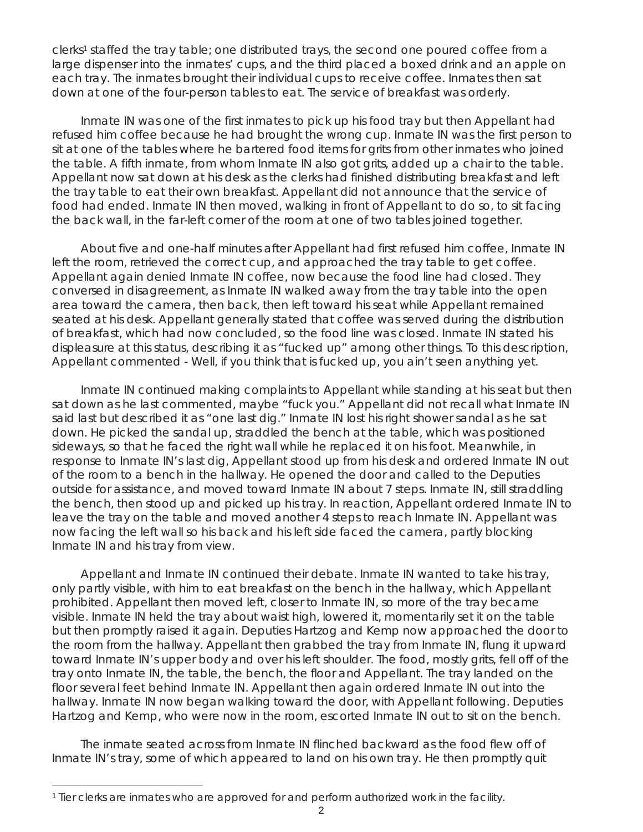clerks1 staffed the tray table; one distributed trays, the second one poured coffee from a large dispenser into the inmates' cups, and the third placed a boxed drink and an apple on each tray. The inmates brought their individual cups to receive coffee. Inmates then sat down at one of the four-person tables to eat. The service of breakfast was orderly.

Inmate IN was one of the first inmates to pick up his food tray but then Appellant had refused him coffee because he had brought the wrong cup. Inmate IN was the first person to sit at one of the tables where he bartered food items for grits from other inmates who joined the table. A fifth inmate, from whom Inmate IN also got grits, added up a chair to the table. Appellant now sat down at his desk as the clerks had finished distributing breakfast and left the tray table to eat their own breakfast. Appellant did not announce that the service of food had ended. Inmate IN then moved, walking in front of Appellant to do so, to sit facing the back wall, in the far-left corner of the room at one of two tables joined together.

About five and one-half minutes after Appellant had first refused him coffee, Inmate IN left the room, retrieved the correct cup, and approached the tray table to get coffee. Appellant again denied Inmate IN coffee, now because the food line had closed. They conversed in disagreement, as Inmate IN walked away from the tray table into the open area toward the camera, then back, then left toward his seat while Appellant remained seated at his desk. Appellant generally stated that coffee was served during the distribution of breakfast, which had now concluded, so the food line was closed. Inmate IN stated his displeasure at this status, describing it as "fucked up" among other things. To this description, Appellant commented - Well, if you think that is fucked up, you ain't seen anything yet.

Inmate IN continued making complaints to Appellant while standing at his seat but then sat down as he last commented, maybe "fuck you." Appellant did not recall what Inmate IN said last but described it as "one last dig." Inmate IN lost his right shower sandal as he sat down. He picked the sandal up, straddled the bench at the table, which was positioned sideways, so that he faced the right wall while he replaced it on his foot. Meanwhile, in response to Inmate IN's last dig, Appellant stood up from his desk and ordered Inmate IN out of the room to a bench in the hallway. He opened the door and called to the Deputies outside for assistance, and moved toward Inmate IN about 7 steps. Inmate IN, still straddling the bench, then stood up and picked up his tray. In reaction, Appellant ordered Inmate IN to leave the tray on the table and moved another 4 steps to reach Inmate IN. Appellant was now facing the left wall so his back and his left side faced the camera, partly blocking Inmate IN and his tray from view.

Appellant and Inmate IN continued their debate. Inmate IN wanted to take his tray, only partly visible, with him to eat breakfast on the bench in the hallway, which Appellant prohibited. Appellant then moved left, closer to Inmate IN, so more of the tray became visible. Inmate IN held the tray about waist high, lowered it, momentarily set it on the table but then promptly raised it again. Deputies Hartzog and Kemp now approached the door to the room from the hallway. Appellant then grabbed the tray from Inmate IN, flung it upward toward Inmate IN's upper body and over his left shoulder. The food, mostly grits, fell off of the tray onto Inmate IN, the table, the bench, the floor and Appellant. The tray landed on the floor several feet behind Inmate IN. Appellant then again ordered Inmate IN out into the hallway. Inmate IN now began walking toward the door, with Appellant following. Deputies Hartzog and Kemp, who were now in the room, escorted Inmate IN out to sit on the bench.

The inmate seated across from Inmate IN flinched backward as the food flew off of Inmate IN's tray, some of which appeared to land on his own tray. He then promptly quit

i

<sup>&</sup>lt;sup>1</sup> Tier clerks are inmates who are approved for and perform authorized work in the facility.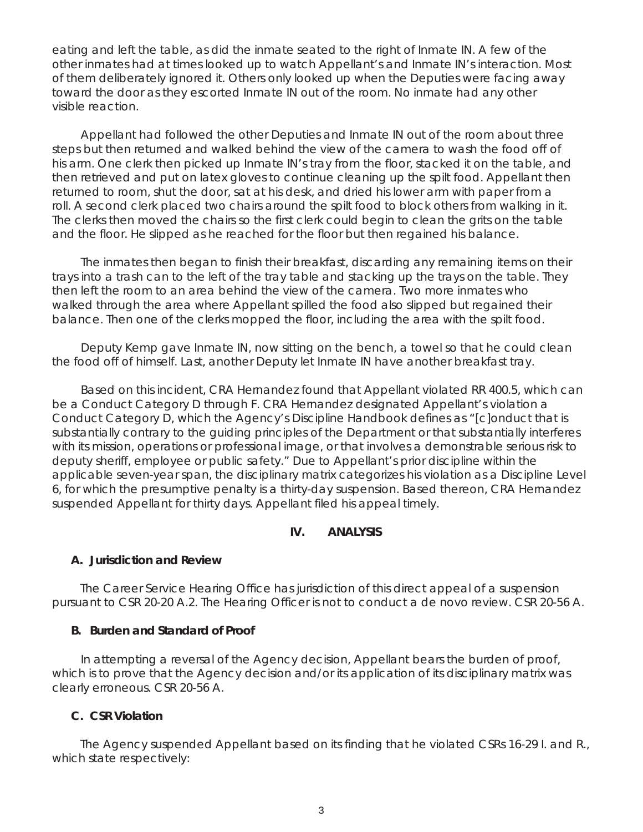eating and left the table, as did the inmate seated to the right of Inmate IN. A few of the other inmates had at times looked up to watch Appellant's and Inmate IN's interaction. Most of them deliberately ignored it. Others only looked up when the Deputies were facing away toward the door as they escorted Inmate IN out of the room. No inmate had any other visible reaction.

Appellant had followed the other Deputies and Inmate IN out of the room about three steps but then returned and walked behind the view of the camera to wash the food off of his arm. One clerk then picked up Inmate IN's tray from the floor, stacked it on the table, and then retrieved and put on latex gloves to continue cleaning up the spilt food. Appellant then returned to room, shut the door, sat at his desk, and dried his lower arm with paper from a roll. A second clerk placed two chairs around the spilt food to block others from walking in it. The clerks then moved the chairs so the first clerk could begin to clean the grits on the table and the floor. He slipped as he reached for the floor but then regained his balance.

The inmates then began to finish their breakfast, discarding any remaining items on their trays into a trash can to the left of the tray table and stacking up the trays on the table. They then left the room to an area behind the view of the camera. Two more inmates who walked through the area where Appellant spilled the food also slipped but regained their balance. Then one of the clerks mopped the floor, including the area with the spilt food.

Deputy Kemp gave Inmate IN, now sitting on the bench, a towel so that he could clean the food off of himself. Last, another Deputy let Inmate IN have another breakfast tray.

Based on this incident, CRA Hernandez found that Appellant violated RR 400.5, which can be a Conduct Category D through F. CRA Hernandez designated Appellant's violation a Conduct Category D, which the Agency's Discipline Handbook defines as "[c]onduct that is substantially contrary to the guiding principles of the Department or that substantially interferes with its mission, operations or professional image, or that involves a demonstrable serious risk to deputy sheriff, employee or public safety." Due to Appellant's prior discipline within the applicable seven-year span, the disciplinary matrix categorizes his violation as a Discipline Level 6, for which the presumptive penalty is a thirty-day suspension. Based thereon, CRA Hernandez suspended Appellant for thirty days. Appellant filed his appeal timely.

## **IV. ANALYSIS**

### **A. Jurisdiction and Review**

The Career Service Hearing Office has jurisdiction of this direct appeal of a suspension pursuant to CSR 20-20 A.2. The Hearing Officer is not to conduct a *de novo* review. CSR 20-56 A.

### **B. Burden and Standard of Proof**

In attempting a reversal of the Agency decision, Appellant bears the burden of proof, which is to prove that the Agency decision and/or its application of its disciplinary matrix was clearly erroneous. CSR 20-56 A.

# **C. CSR Violation**

The Agency suspended Appellant based on its finding that he violated CSRs 16-29 I. and R., which state respectively: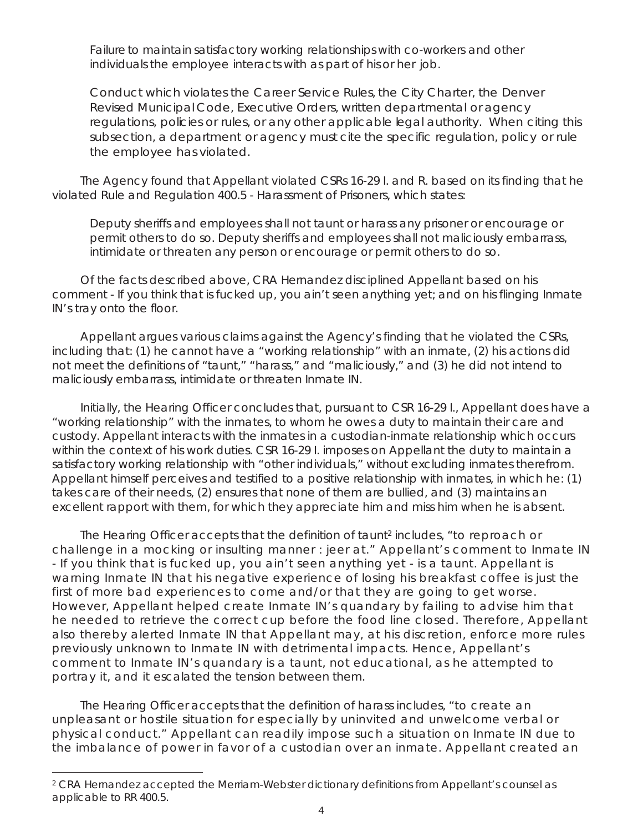Failure to maintain satisfactory working relationships with co-workers and other individuals the employee interacts with as part of his or her job.

Conduct which violates the Career Service Rules, the City Charter, the Denver Revised Municipal Code, Executive Orders, written departmental or agency regulations, policies or rules, or any other applicable legal authority. When citing this subsection, a department or agency must cite the specific regulation, policy or rule the employee has violated.

The Agency found that Appellant violated CSRs 16-29 I. and R. based on its finding that he violated Rule and Regulation 400.5 - Harassment of Prisoners, which states:

Deputy sheriffs and employees shall not taunt or harass any prisoner or encourage or permit others to do so. Deputy sheriffs and employees shall not maliciously embarrass, intimidate or threaten any person or encourage or permit others to do so.

Of the facts described above, CRA Hernandez disciplined Appellant based on his comment - If you think that is fucked up, you ain't seen anything yet; and on his flinging Inmate IN's tray onto the floor.

Appellant argues various claims against the Agency's finding that he violated the CSRs, including that: (1) he cannot have a "working relationship" with an inmate, (2) his actions did not meet the definitions of "taunt," "harass," and "maliciously," and (3) he did not intend to maliciously embarrass, intimidate or threaten Inmate IN.

Initially, the Hearing Officer concludes that, pursuant to CSR 16-29 I., Appellant does have a "working relationship" with the inmates, to whom he owes a duty to maintain their care and custody. Appellant interacts with the inmates in a custodian-inmate relationship which occurs within the context of his work duties. CSR 16-29 I. imposes on Appellant the duty to maintain a satisfactory working relationship with "other individuals," without excluding inmates therefrom. Appellant himself perceives and testified to a positive relationship with inmates, in which he: (1) takes care of their needs, (2) ensures that none of them are bullied, and (3) maintains an excellent rapport with them, for which they appreciate him and miss him when he is absent.

The Hearing Officer accepts that the definition of taunt<sup>2</sup> includes, "to reproach or challenge in a mocking or insulting manner : jeer at." Appellant's comment to Inmate IN - If you think that is fucked up, you ain't seen anything yet - is a taunt. Appellant is warning Inmate IN that his negative experience of losing his breakfast coffee is just the first of more bad experiences to come and/or that they are going to get worse. However, Appellant helped create Inmate IN's quandary by failing to advise him that he needed to retrieve the correct cup before the food line closed. Therefore, Appellant also thereby alerted Inmate IN that Appellant may, at his discretion, enforce more rules previously unknown to Inmate IN with detrimental impacts. Hence, Appellant's comment to Inmate IN's quandary is a taunt, not educational, as he attempted to portray it, and it escalated the tension between them.

The Hearing Officer accepts that the definition of harass includes, "to create an unpleasant or hostile situation for especially by uninvited and unwelcome verbal or physical conduct." Appellant can readily impose such a situation on Inmate IN due to the imbalance of power in favor of a custodian over an inmate. Appellant created an

i

<sup>&</sup>lt;sup>2</sup> CRA Hernandez accepted the Merriam-Webster dictionary definitions from Appellant's counsel as applicable to RR 400.5.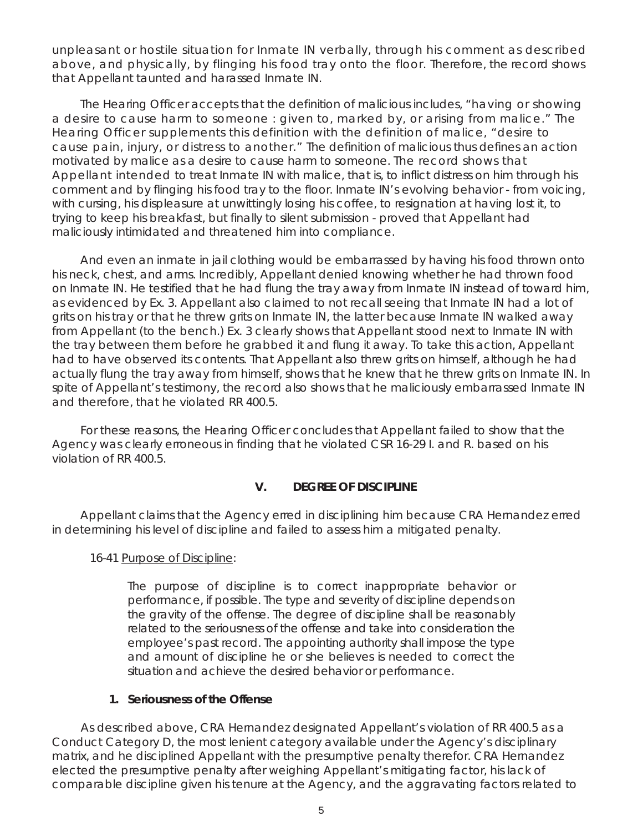unpleasant or hostile situation for Inmate IN verbally, through his comment as described above, and physically, by flinging his food tray onto the floor. Therefore, the record shows that Appellant taunted and harassed Inmate IN.

The Hearing Officer accepts that the definition of malicious includes, "having or showing a desire to cause harm to someone : given to, marked by, or arising from malice." The Hearing Officer supplements this definition with the definition of malice, "desire to cause pain, injury, or distress to another." The definition of malicious thus defines an action motivated by malice as a desire to cause harm to someone. The record shows that Appellant intended to treat Inmate IN with malice, that is, to inflict distress on him through his comment and by flinging his food tray to the floor. Inmate IN's evolving behavior - from voicing, with cursing, his displeasure at unwittingly losing his coffee, to resignation at having lost it, to trying to keep his breakfast, but finally to silent submission - proved that Appellant had maliciously intimidated and threatened him into compliance.

And even an inmate in jail clothing would be embarrassed by having his food thrown onto his neck, chest, and arms. Incredibly, Appellant denied knowing whether he had thrown food on Inmate IN. He testified that he had flung the tray away from Inmate IN instead of toward him, as evidenced by Ex. 3. Appellant also claimed to not recall seeing that Inmate IN had a lot of grits on his tray or that he threw grits on Inmate IN, the latter because Inmate IN walked away from Appellant (to the bench.) Ex. 3 clearly shows that Appellant stood next to Inmate IN with the tray between them before he grabbed it and flung it away. To take this action, Appellant had to have observed its contents. That Appellant also threw grits on himself, although he had actually flung the tray away from himself, shows that he knew that he threw grits on Inmate IN. In spite of Appellant's testimony, the record also shows that he maliciously embarrassed Inmate IN and therefore, that he violated RR 400.5.

For these reasons, the Hearing Officer concludes that Appellant failed to show that the Agency was clearly erroneous in finding that he violated CSR 16-29 I. and R. based on his violation of RR 400.5.

### **V. DEGREE OF DISCIPLINE**

Appellant claims that the Agency erred in disciplining him because CRA Hernandez erred in determining his level of discipline and failed to assess him a mitigated penalty.

### 16-41 Purpose of Discipline:

The purpose of discipline is to correct inappropriate behavior or performance, if possible. The type and severity of discipline depends on the gravity of the offense. The degree of discipline shall be reasonably related to the seriousness of the offense and take into consideration the employee's past record. The appointing authority shall impose the type and amount of discipline he or she believes is needed to correct the situation and achieve the desired behavior or performance.

### **1. Seriousness of the Offense**

As described above, CRA Hernandez designated Appellant's violation of RR 400.5 as a Conduct Category D, the most lenient category available under the Agency's disciplinary matrix, and he disciplined Appellant with the presumptive penalty therefor. CRA Hernandez elected the presumptive penalty after weighing Appellant's mitigating factor, his lack of comparable discipline given his tenure at the Agency, and the aggravating factors related to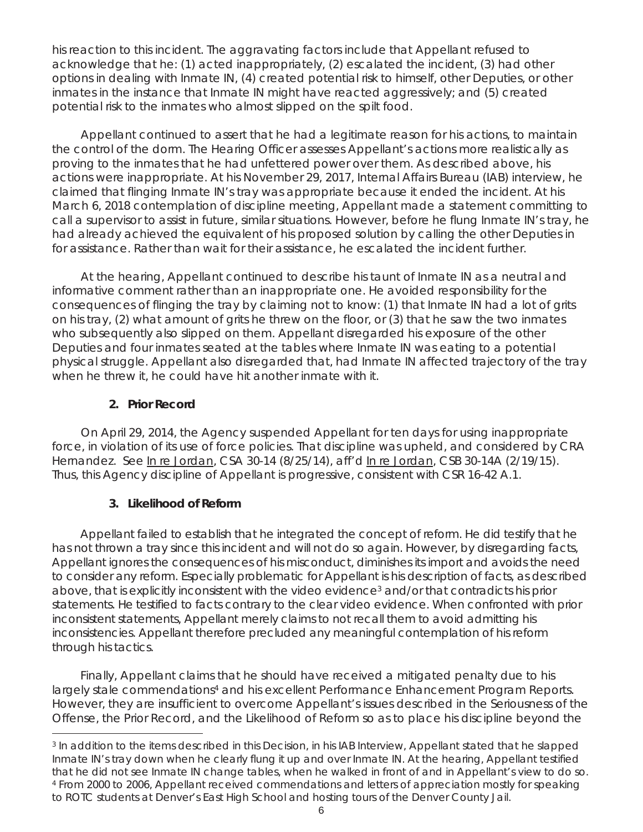his reaction to this incident. The aggravating factors include that Appellant refused to acknowledge that he: (1) acted inappropriately, (2) escalated the incident, (3) had other options in dealing with Inmate IN, (4) created potential risk to himself, other Deputies, or other inmates in the instance that Inmate IN might have reacted aggressively; and (5) created potential risk to the inmates who almost slipped on the spilt food.

Appellant continued to assert that he had a legitimate reason for his actions, to maintain the control of the dorm. The Hearing Officer assesses Appellant's actions more realistically as proving to the inmates that he had unfettered power over them. As described above, his actions were inappropriate. At his November 29, 2017, Internal Affairs Bureau (IAB) interview, he claimed that flinging Inmate IN's tray was appropriate because it ended the incident. At his March 6, 2018 contemplation of discipline meeting, Appellant made a statement committing to call a supervisor to assist in future, similar situations. However, before he flung Inmate IN's tray, he had already achieved the equivalent of his proposed solution by calling the other Deputies in for assistance. Rather than wait for their assistance, he escalated the incident further.

At the hearing, Appellant continued to describe his taunt of Inmate IN as a neutral and informative comment rather than an inappropriate one. He avoided responsibility for the consequences of flinging the tray by claiming not to know: (1) that Inmate IN had a lot of grits on his tray, (2) what amount of grits he threw on the floor, or (3) that he saw the two inmates who subsequently also slipped on them. Appellant disregarded his exposure of the other Deputies and four inmates seated at the tables where Inmate IN was eating to a potential physical struggle. Appellant also disregarded that, had Inmate IN affected trajectory of the tray when he threw it, he could have hit another inmate with it.

# **2. Prior Record**

i

On April 29, 2014, the Agency suspended Appellant for ten days for using inappropriate force, in violation of its use of force policies. That discipline was upheld, and considered by CRA Hernandez. *See* In re Jordan, CSA 30-14 (8/25/14), *aff'd* In re Jordan, CSB 30-14A (2/19/15). Thus, this Agency discipline of Appellant is progressive, consistent with CSR 16-42 A.1.

# **3. Likelihood of Reform**

Appellant failed to establish that he integrated the concept of reform. He did testify that he has not thrown a tray since this incident and will not do so again. However, by disregarding facts, Appellant ignores the consequences of his misconduct, diminishes its import and avoids the need to consider any reform. Especially problematic for Appellant is his description of facts, as described above, that is explicitly inconsistent with the video evidence<sup>3</sup> and/or that contradicts his prior statements. He testified to facts contrary to the clear video evidence. When confronted with prior inconsistent statements, Appellant merely claims to not recall them to avoid admitting his inconsistencies. Appellant therefore precluded any meaningful contemplation of his reform through his tactics.

Finally, Appellant claims that he should have received a mitigated penalty due to his largely stale commendations<sup>4</sup> and his excellent Performance Enhancement Program Reports. However, they are insufficient to overcome Appellant's issues described in the Seriousness of the Offense, the Prior Record, and the Likelihood of Reform so as to place his discipline beyond the

<sup>3</sup> In addition to the items described in this Decision, in his IAB Interview, Appellant stated that he slapped Inmate IN's tray down when he clearly flung it up and over Inmate IN. At the hearing, Appellant testified that he did not see Inmate IN change tables, when he walked in front of and in Appellant's view to do so. 4 From 2000 to 2006, Appellant received commendations and letters of appreciation mostly for speaking to ROTC students at Denver's East High School and hosting tours of the Denver County Jail.